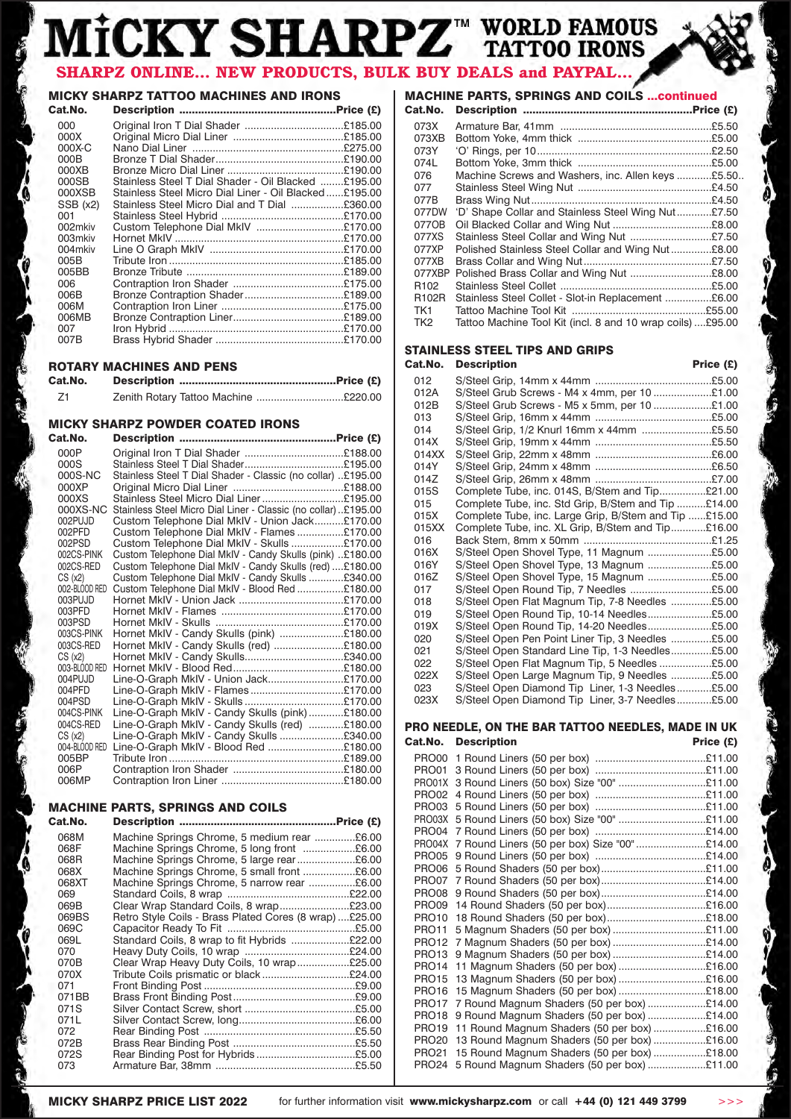# MİCKY SHARPZ<sup>"</sup> TATTOO IRONS **SHARPZ ONLINE... NEW PRODUCTS, BULK BUY DEALS and PAYPAL...**

## **MICKY SHARPZ TATTOO MACHINES AND IRONS**

| Cat.No.  |                                                       |  |
|----------|-------------------------------------------------------|--|
| 000      | Original Iron T Dial Shader £185.00                   |  |
| 000X     |                                                       |  |
| $000X-C$ |                                                       |  |
| 000B     |                                                       |  |
| 000XB    |                                                       |  |
| 000SB    | Stainless Steel T Dial Shader - Oil Blacked £195.00   |  |
| 000XSB   | Stainless Steel Micro Dial Liner - Oil Blacked£195.00 |  |
| SSB (x2) | Stainless Steel Micro Dial and T Dial £360.00         |  |
| 001      |                                                       |  |
| 002mkiy  | Custom Telephone Dial MkIV £170.00                    |  |
| 003mkiy  |                                                       |  |
| 004mkiy  |                                                       |  |
| 005B     |                                                       |  |
| 005BB    |                                                       |  |
| 006      |                                                       |  |
| 006B     |                                                       |  |
| 006M     |                                                       |  |
| 006MB    |                                                       |  |
| 007      |                                                       |  |
| 007B     |                                                       |  |
|          |                                                       |  |

## **ROTARY MACHINES AND PENS**

| Cat.No. |                                      |  |
|---------|--------------------------------------|--|
| Z1      | Zenith Rotary Tattoo Machine £220.00 |  |

## **MICKY SHARPZ POWDER COATED IRONS**

| Cat.No.       |                                                               |  |
|---------------|---------------------------------------------------------------|--|
| 000P          |                                                               |  |
| 000S          |                                                               |  |
| 000S-NC       | Stainless Steel T Dial Shader - Classic (no collar) £195.00   |  |
| 000XP         |                                                               |  |
| 000XS         | Stainless Steel Micro Dial Liner£195.00                       |  |
| 000XS-NC      | Stainless Steel Micro Dial Liner - Classic (no collar)£195.00 |  |
| 002PUJD       | Custom Telephone Dial MkIV - Union Jack£170.00                |  |
| 002PFD        | Custom Telephone Dial MkIV - Flames £170.00                   |  |
| 002PSD        | Custom Telephone Dial MkIV - Skulls £170.00                   |  |
| 002CS-PINK    | Custom Telephone Dial MkIV - Candy Skulls (pink) £180.00      |  |
| 002CS-RED     | Custom Telephone Dial MkIV - Candy Skulls (red) £180.00       |  |
| CS(x2)        | Custom Telephone Dial MkIV - Candy Skulls £340.00             |  |
| 002-BLOOD RED | Custom Telephone Dial MkIV - Blood Red £180.00                |  |
| 003PUJD       |                                                               |  |
| 003PFD        |                                                               |  |
| 003PSD        |                                                               |  |
| 003CS-PINK    | Hornet MkIV - Candy Skulls (pink) £180.00                     |  |
| 003CS-RED     | Hornet MkIV - Candy Skulls (red) £180.00                      |  |
| CS(x2)        |                                                               |  |
| 003-BLOOD RED |                                                               |  |
| 004PUJD       | Line-O-Graph MkIV - Union Jack£170.00                         |  |
| 004PFD        | Line-O-Graph MkIV - Flames£170.00                             |  |
| 004PSD        |                                                               |  |
| 004CS-PINK    | Line-O-Graph MkIV - Candy Skulls (pink)£180.00                |  |
| 004CS-RED     | Line-O-Graph MkIV - Candy Skulls (red) £180.00                |  |
| CS(x2)        | Line-O-Graph MkIV - Candy Skulls £340.00                      |  |
| 004-BLOOD RED | Line-O-Graph MkIV - Blood Red £180.00                         |  |
| 005BP         |                                                               |  |
| 006P          |                                                               |  |
| 006MP         |                                                               |  |

## **MACHINE PARTS, SPRINGS AND COILS**

| Cat.No.                                                                                                                                     |                                                                                                                                                                                                                                                                                                                                                                                                                                                                                  |  |
|---------------------------------------------------------------------------------------------------------------------------------------------|----------------------------------------------------------------------------------------------------------------------------------------------------------------------------------------------------------------------------------------------------------------------------------------------------------------------------------------------------------------------------------------------------------------------------------------------------------------------------------|--|
| 068M<br>068F<br>068R<br>068X<br>068XT<br>069<br>069B<br>069BS<br>069C<br>069L<br>070<br>070B<br>070X<br>071<br>071BB<br>071S<br>071L<br>072 | Machine Springs Chrome, 5 medium rear £6.00<br>Machine Springs Chrome, 5 long front £6.00<br>Machine Springs Chrome, 5 large rear£6.00<br>Machine Springs Chrome, 5 small front £6.00<br>Machine Springs Chrome, 5 narrow rear £6.00<br>Clear Wrap Standard Coils, 8 wrap£23.00<br>Retro Style Coils - Brass Plated Cores (8 wrap)£25.00<br>Standard Coils, 8 wrap to fit Hybrids £22.00<br>Clear Wrap Heavy Duty Coils, 10 wrap£25.00<br>Tribute Coils prismatic or black£24.00 |  |
| 072B                                                                                                                                        |                                                                                                                                                                                                                                                                                                                                                                                                                                                                                  |  |
| 072S                                                                                                                                        |                                                                                                                                                                                                                                                                                                                                                                                                                                                                                  |  |
| 073                                                                                                                                         |                                                                                                                                                                                                                                                                                                                                                                                                                                                                                  |  |

## **MACHINE PARTS, SPRINGS AND COILS ...continued**<br>Cat No **Description**

| Cat.No.         |                                                            |  |
|-----------------|------------------------------------------------------------|--|
| 073X            |                                                            |  |
| 073XB           |                                                            |  |
| 073Y            |                                                            |  |
| 074L            |                                                            |  |
| 076             | Machine Screws and Washers, inc. Allen keys £5.50.         |  |
| 077             |                                                            |  |
| 077B            |                                                            |  |
| 077DW           | 'D' Shape Collar and Stainless Steel Wing Nut£7.50         |  |
| 0770B           |                                                            |  |
| 077XS           |                                                            |  |
| 077XP           | Polished Stainless Steel Collar and Wing Nut£8.00          |  |
| 077XB           |                                                            |  |
| 077XBP          | Polished Brass Collar and Wing Nut £8.00                   |  |
| R102            |                                                            |  |
| R102R           | Stainless Steel Collet - Slot-in Replacement £6.00         |  |
| TK1             |                                                            |  |
| TK <sub>2</sub> | Tattoo Machine Tool Kit (incl. 8 and 10 wrap coils) £95.00 |  |

## **STAINLESS STEEL TIPS AND GRIPS**

**Cat.No. Description** 

| val.nv. | <b>DESCRIPTION</b>                                    | $r_{\text{HUC}}(t)$ |
|---------|-------------------------------------------------------|---------------------|
| 012     |                                                       |                     |
| 012A    | S/Steel Grub Screws - M4 x 4mm, per 10 £1.00          |                     |
| 012B    | S/Steel Grub Screws - M5 x 5mm, per 10 £1.00          |                     |
| 013     |                                                       |                     |
| 014     | S/Steel Grip, 1/2 Knurl 16mm x 44mm £5.50             |                     |
| 014X    |                                                       |                     |
| 014XX   |                                                       |                     |
| 014Y    |                                                       |                     |
| 014Z    |                                                       |                     |
| 015S    | Complete Tube, inc. 014S, B/Stem and Tip£21.00        |                     |
| 015     | Complete Tube, inc. Std Grip, B/Stem and Tip £14.00   |                     |
| 015X    | Complete Tube, inc. Large Grip, B/Stem and Tip £15.00 |                     |
| 015XX   | Complete Tube, inc. XL Grip, B/Stem and Tip£16.00     |                     |
| 016     |                                                       |                     |
| 016X    | S/Steel Open Shovel Type, 11 Magnum £5.00             |                     |
| 016Y    | S/Steel Open Shovel Type, 13 Magnum £5.00             |                     |
| 016Z    | S/Steel Open Shovel Type, 15 Magnum £5.00             |                     |
| 017     | S/Steel Open Round Tip, 7 Needles £5.00               |                     |
| 018     | S/Steel Open Flat Magnum Tip, 7-8 Needles £5.00       |                     |
| 019     | S/Steel Open Round Tip, 10-14 Needles£5.00            |                     |
| 019X    | S/Steel Open Round Tip, 14-20 Needles£5.00            |                     |
| 020     | S/Steel Open Pen Point Liner Tip, 3 Needles £5.00     |                     |
| 021     | S/Steel Open Standard Line Tip, 1-3 Needles£5.00      |                     |
| 022     | S/Steel Open Flat Magnum Tip, 5 Needles £5.00         |                     |
| 022X    | S/Steel Open Large Magnum Tip, 9 Needles £5.00        |                     |
| 023     | S/Steel Open Diamond Tip Liner, 1-3 Needles£5.00      |                     |
| 023X    | S/Steel Open Diamond Tip Liner, 3-7 Needles£5.00      |                     |

### **PRO NEEDLE, ON THE BAR TATTOO NEEDLES, MADE IN UK** Cat.No. Description **Price (£)**

| PRO01             |                                                     |  |
|-------------------|-----------------------------------------------------|--|
|                   |                                                     |  |
|                   |                                                     |  |
| PRO03             |                                                     |  |
| PRO03X            | 5 Round Liners (50 box) Size "00" £11.00            |  |
| PRO04             |                                                     |  |
|                   | PRO04X 7 Round Liners (50 per box) Size "00" £14.00 |  |
| PRO05             |                                                     |  |
| PRO06             |                                                     |  |
| PRO07             |                                                     |  |
| PRO08             |                                                     |  |
| PRO09             | 14 Round Shaders (50 per box)£16.00                 |  |
| PRO10             | 18 Round Shaders (50 per box)£18.00                 |  |
| <b>PRO11</b>      |                                                     |  |
| <b>PRO12</b>      | 7 Magnum Shaders (50 per box) £14.00                |  |
| <b>PRO13</b>      |                                                     |  |
| <b>PRO14</b>      | 11 Magnum Shaders (50 per box) £16.00               |  |
| <b>PRO15</b>      | 13 Magnum Shaders (50 per box) £16.00               |  |
| <b>PRO16</b>      | 15 Magnum Shaders (50 per box) £18.00               |  |
| <b>PRO17</b>      | 7 Round Magnum Shaders (50 per box) £14.00          |  |
| <b>PRO18</b>      | 9 Round Magnum Shaders (50 per box) £14.00          |  |
| PRO <sub>19</sub> | 11 Round Magnum Shaders (50 per box) £16.00         |  |
| PRO <sub>20</sub> | 13 Round Magnum Shaders (50 per box) £16.00         |  |
| <b>PRO21</b>      | 15 Round Magnum Shaders (50 per box) £18.00         |  |
| PRO <sub>24</sub> | 5 Round Magnum Shaders (50 per box) £11.00          |  |
|                   |                                                     |  |

B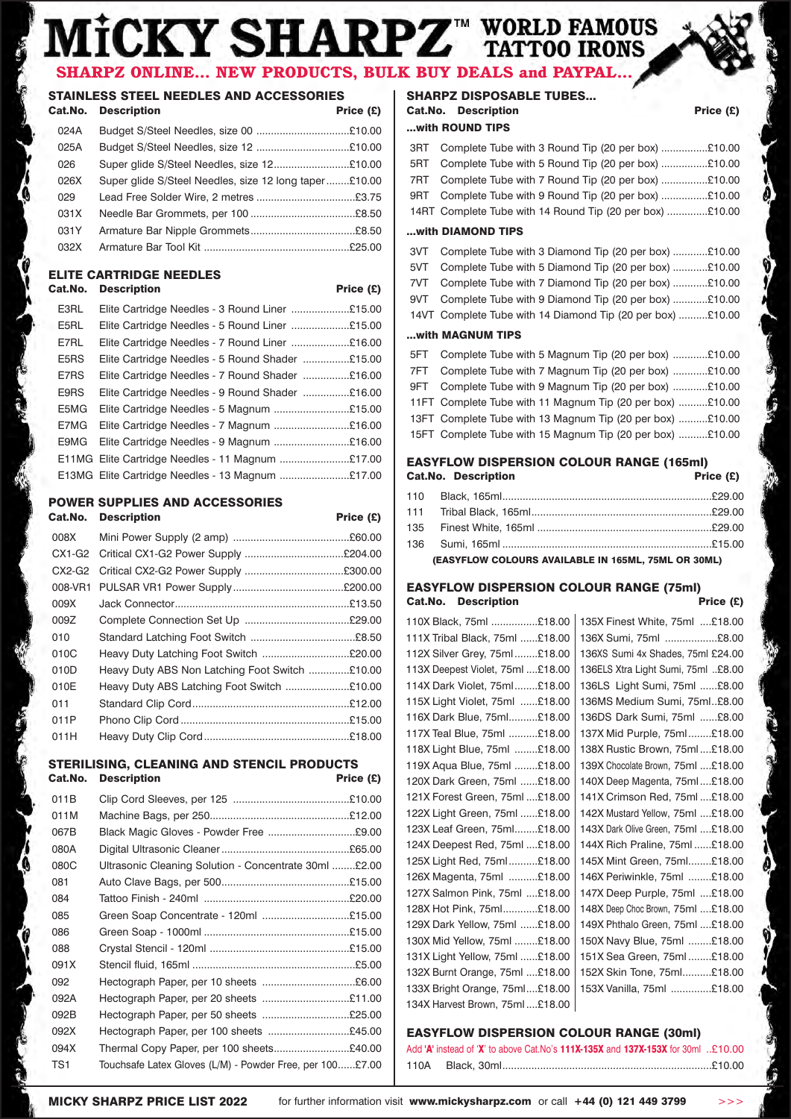## WORLD FAMOUS<br>TATTOO IRONS **CKY SHARPZ** SHARPZ ONLINE... NEW PRODUCTS, BULK BUY DEALS and PAYPAL

## **STAINLESS STEEL NEEDLES AND ACCESSORIES**

|      | <b>Cat.No. Description</b>                            | Price $(E)$ |
|------|-------------------------------------------------------|-------------|
| 024A | Budget S/Steel Needles, size 00 £10.00                |             |
| 025A | Budget S/Steel Needles, size 12 £10.00                |             |
| 026  | Super glide S/Steel Needles, size 12£10.00            |             |
| 026X | Super glide S/Steel Needles, size 12 long taper£10.00 |             |
| 029  |                                                       |             |
| 031X |                                                       |             |
| 031Y |                                                       |             |
| 032X |                                                       |             |
|      |                                                       |             |

## **ELITE CARTRIDGE NEEDLES**

## Cat.No. Description **Price (£)**

| E3RL | Elite Cartridge Needles - 3 Round Liner £15.00   |
|------|--------------------------------------------------|
| E5RL | Elite Cartridge Needles - 5 Round Liner £15.00   |
| E7RL | Elite Cartridge Needles - 7 Round Liner £16.00   |
| E5RS | Elite Cartridge Needles - 5 Round Shader £15.00  |
| E7RS | Elite Cartridge Needles - 7 Round Shader £16.00  |
| E9RS | Elite Cartridge Needles - 9 Round Shader £16.00  |
| E5MG |                                                  |
| E7MG | Elite Cartridge Needles - 7 Magnum £16.00        |
| E9MG | Elite Cartridge Needles - 9 Magnum £16.00        |
|      |                                                  |
|      | E13MG Elite Cartridge Needles - 13 Magnum £17.00 |

## **POWER SUPPLIES AND ACCESSORIES**

|         | <b>Cat.No. Description</b>                     | Price $(E)$ |
|---------|------------------------------------------------|-------------|
| 008X    |                                                |             |
| CX1-G2  |                                                |             |
| CX2-G2  |                                                |             |
| 008-VR1 |                                                |             |
| 009X    |                                                |             |
| 009Z    |                                                |             |
| 010     |                                                |             |
| 010C    | Heavy Duty Latching Foot Switch £20.00         |             |
| 010D    | Heavy Duty ABS Non Latching Foot Switch £10.00 |             |
| 010E    | Heavy Duty ABS Latching Foot Switch £10.00     |             |
| 011     |                                                |             |
| 011P    |                                                |             |
| 011H    |                                                |             |

### **STERILISING, CLEANING AND STENCIL PRODUCTS** Cat.No. Description **Price (£)**

| 011B            |                                                          |  |
|-----------------|----------------------------------------------------------|--|
| 011M            |                                                          |  |
| 067B            |                                                          |  |
| 080A            |                                                          |  |
| 080C            | Ultrasonic Cleaning Solution - Concentrate 30ml £2.00    |  |
| 081             |                                                          |  |
| 084             |                                                          |  |
| 085             | Green Soap Concentrate - 120ml £15.00                    |  |
| 086             |                                                          |  |
| 088             |                                                          |  |
| 091X            |                                                          |  |
| 092             |                                                          |  |
| 092A            |                                                          |  |
| 092B            | Hectograph Paper, per 50 sheets £25.00                   |  |
| 092X            | Hectograph Paper, per 100 sheets £45.00                  |  |
| 094X            | Thermal Copy Paper, per 100 sheets£40.00                 |  |
| TS <sub>1</sub> | Touchsafe Latex Gloves (L/M) - Powder Free, per 100£7.00 |  |
|                 |                                                          |  |

## **SHARPZ DISPOSABLE TUBES...** Cat.No. Description **Price (£)**

## **...with ROUND TIPS**

|     | 3RT Complete Tube with 3 Round Tip (20 per box) £10.00   |
|-----|----------------------------------------------------------|
|     | 5RT Complete Tube with 5 Round Tip (20 per box) £10.00   |
|     | 7RT Complete Tube with 7 Round Tip (20 per box) £10.00   |
|     | 9RT Complete Tube with 9 Round Tip (20 per box) £10.00   |
|     | 14RT Complete Tube with 14 Round Tip (20 per box) £10.00 |
|     |                                                          |
|     | with DIAMOND TIPS                                        |
|     | 3VT Complete Tube with 3 Diamond Tip (20 per box) £10.00 |
| 5VT | Complete Tube with 5 Diamond Tip (20 per box) £10.00     |
|     | 7VT Complete Tube with 7 Diamond Tip (20 per box) £10.00 |

9VT Complete Tube with 9 Diamond Tip (20 per box) ............£10.00 14VT Complete Tube with 14 Diamond Tip (20 per box) ..........£10.00

### **...with MAGNUM TIPS**

| 5FT Complete Tube with 5 Magnum Tip (20 per box) £10.00   |
|-----------------------------------------------------------|
| 7FT Complete Tube with 7 Magnum Tip (20 per box) £10.00   |
| 9FT Complete Tube with 9 Magnum Tip (20 per box) £10.00   |
| 11FT Complete Tube with 11 Magnum Tip (20 per box) £10.00 |
| 13FT Complete Tube with 13 Magnum Tip (20 per box) £10.00 |
| 15FT Complete Tube with 15 Magnum Tip (20 per box) £10.00 |

#### **EASYFLOW DISPERSION COLOUR RANGE (165ml) Cat.No. Description**

| Calino. Description                                 | $F \cap C \in (L)$ |
|-----------------------------------------------------|--------------------|
|                                                     |                    |
|                                                     |                    |
|                                                     |                    |
| 136   Sumi. 165ml ……………………………………………………………………£15.00  |                    |
| (EASYFLOW COLOURS AVAILABLE IN 165ML, 75ML OR 30ML) |                    |

## **EASYFLOW DISPERSION COLOUR RANGE (75ml)** Cat.No. Description **Price (£)**

| 110X Black, 75ml £18.00          | 135X Finest White, 75ml £18.00     |
|----------------------------------|------------------------------------|
| 111X Tribal Black, 75ml £18.00   | 136X Sumi, 75ml £8.00              |
| 112X Silver Grey, 75ml£18.00     | 136XS Sumi 4x Shades, 75ml £24.00  |
| 113X Deepest Violet, 75ml £18.00 | 136ELS Xtra Light Sumi, 75ml £8.00 |
| 114X Dark Violet, 75ml£18.00     | 136LS Light Sumi, 75ml £8.00       |
| 115X Light Violet, 75ml £18.00   | 136MS Medium Sumi, 75ml£8.00       |
| 116X Dark Blue, 75ml£18.00       | 136DS Dark Sumi, 75ml £8.00        |
| 117X Teal Blue, 75ml £18.00      | 137X Mid Purple, 75ml£18.00        |
| 118X Light Blue, 75ml £18.00     | 138X Rustic Brown, 75ml£18.00      |
| 119X Aqua Blue, 75ml £18.00      | 139X Chocolate Brown, 75ml £18.00  |
| 120X Dark Green, 75ml £18.00     | 140X Deep Magenta, 75ml£18.00      |
| 121X Forest Green, 75ml £18.00   | 141X Crimson Red, 75ml£18.00       |
| 122X Light Green, 75ml £18.00    | 142X Mustard Yellow, 75ml £18.00   |
| 123X Leaf Green, 75ml£18.00      | 143X Dark Olive Green, 75ml £18.00 |
| 124X Deepest Red, 75ml £18.00    | 144X Rich Praline, 75ml£18.00      |
| 125X Light Red, 75ml£18.00       | 145X Mint Green, 75ml£18.00        |
| 126X Magenta, 75ml £18.00        | 146X Periwinkle, 75ml £18.00       |
| 127X Salmon Pink, 75ml £18.00    | 147X Deep Purple, 75ml £18.00      |
| 128X Hot Pink, 75ml£18.00        | 148X Deep Choc Brown, 75ml £18.00  |
| 129X Dark Yellow, 75ml £18.00    | 149X Phthalo Green, 75ml £18.00    |
| 130X Mid Yellow, 75ml £18.00     | 150X Navy Blue, 75ml £18.00        |
| 131X Light Yellow, 75ml £18.00   | 151X Sea Green, 75ml£18.00         |
| 132X Burnt Orange, 75ml £18.00   | 152X Skin Tone, 75ml£18.00         |
| 133X Bright Orange, 75ml£18.00   | 153X Vanilla, 75ml £18.00          |
| 134X Harvest Brown, 75ml£18.00   |                                    |
|                                  |                                    |

## **EASYFLOW DISPERSION COLOUR RANGE (30ml)**

Add **'A'** instead of '**X**' to above Cat.No's **111X-135X** and **137X-153X** for 30ml ..£10.00 110A Black, 30ml........................................................................£10.00

Ġ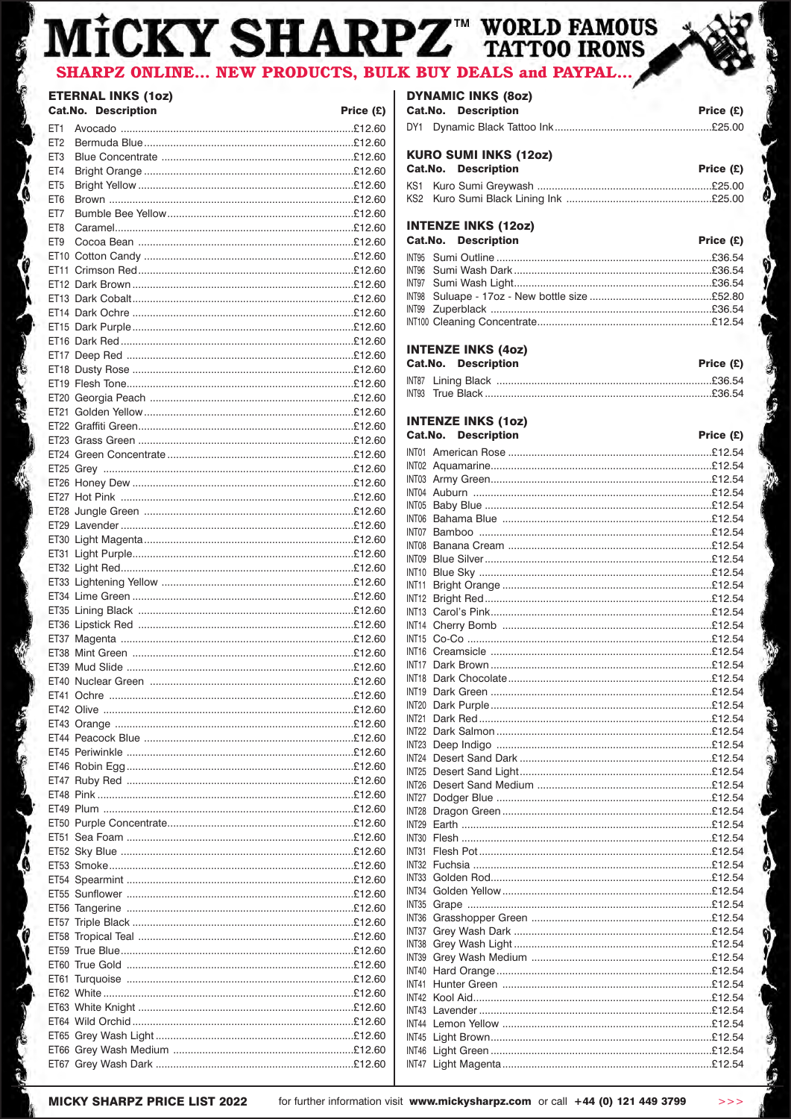#### **HARPZ<sup>™</sup> WORLD FAMOUS** CKY SI **SHARPZ ONLINE... NEW PRODUCTS, BULK BUY DEAL** and PAYPAL... .S

## **ETERNAL INKS (1oz)**

|                 | <b>Cat.No. Description</b> | Price (£) |
|-----------------|----------------------------|-----------|
| ET1             |                            |           |
| ET <sub>2</sub> |                            |           |
| ET <sub>3</sub> |                            |           |
| ET4             |                            |           |
| ET <sub>5</sub> |                            |           |
| ET6             |                            |           |
| ET7             |                            |           |
| ET8             |                            |           |
| ET <sub>9</sub> |                            |           |
|                 |                            |           |
|                 |                            |           |
|                 |                            |           |
|                 |                            |           |
|                 |                            |           |
|                 |                            |           |
|                 |                            |           |
|                 |                            |           |
|                 |                            |           |
|                 |                            |           |
|                 |                            |           |
|                 |                            |           |
|                 |                            |           |
|                 |                            |           |
|                 |                            |           |
|                 |                            |           |
|                 |                            |           |
|                 |                            |           |
|                 |                            |           |
|                 |                            |           |
|                 |                            |           |
|                 |                            |           |
|                 |                            |           |
|                 |                            |           |
|                 |                            |           |
|                 |                            |           |
|                 |                            |           |
|                 |                            |           |
|                 |                            |           |
|                 |                            |           |
|                 |                            |           |
|                 |                            |           |
|                 |                            |           |
|                 |                            |           |
|                 |                            |           |
|                 |                            |           |
|                 |                            |           |
|                 |                            |           |
|                 |                            |           |
|                 |                            |           |
|                 |                            |           |
|                 |                            |           |
|                 |                            |           |
|                 |                            |           |
|                 |                            |           |
|                 |                            |           |
|                 |                            |           |
|                 |                            |           |
|                 |                            |           |
|                 |                            |           |
|                 |                            |           |
|                 |                            |           |
|                 |                            |           |
|                 |                            |           |
|                 |                            |           |

## **DYNAMIC INKS (80z)** Cat.No. Description

| GALIVO. DESCRIPTION | FICE(L) |
|---------------------|---------|
|                     |         |
|                     |         |

## **KURO SUMI INKS (12oz)**

|  |  | <b>Cat.No. Description</b> | Price $(E)$ |  |
|--|--|----------------------------|-------------|--|
|  |  |                            |             |  |
|  |  |                            |             |  |

#### **INTENZE INKS (12oz)**  $\sim$

| Cat.No. Description | Price $(E)$ |
|---------------------|-------------|
|                     |             |
|                     |             |
|                     |             |
|                     |             |
|                     |             |
|                     |             |

## **INTENZE INKS (4oz)**

| <b>Cat.No. Description</b> |  | Price $(E)$ |
|----------------------------|--|-------------|
|                            |  |             |
|                            |  |             |

#### **INTENZE INKS (10z)** Cat.No. Description

|  | <b>Cat.No. Description</b> | Price (£) |
|--|----------------------------|-----------|
|  |                            |           |
|  |                            |           |
|  |                            |           |
|  |                            |           |
|  |                            |           |
|  |                            |           |
|  |                            |           |
|  |                            |           |
|  |                            |           |
|  |                            |           |
|  |                            |           |
|  |                            |           |
|  |                            |           |
|  |                            |           |
|  |                            |           |
|  |                            |           |
|  |                            |           |
|  |                            |           |
|  |                            |           |
|  |                            |           |
|  |                            |           |
|  |                            |           |
|  |                            |           |
|  |                            |           |
|  |                            |           |
|  |                            |           |
|  |                            |           |
|  |                            |           |
|  |                            |           |
|  |                            |           |
|  |                            |           |
|  |                            |           |
|  |                            |           |
|  |                            |           |
|  |                            |           |
|  |                            |           |
|  |                            |           |
|  |                            |           |
|  |                            |           |
|  |                            |           |
|  |                            |           |
|  |                            |           |
|  |                            |           |
|  |                            |           |
|  |                            |           |
|  |                            |           |
|  |                            |           |

5

 $>>$ 

**MICKY SHARPZ PRICE LIST 2022** 

'Q